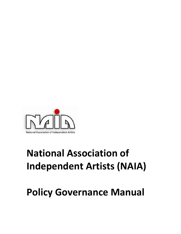

# **National Association of Independent Artists (NAIA)**

## **Policy Governance Manual**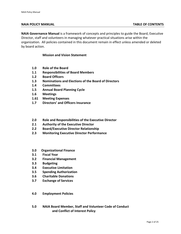#### **NAIA POLICY MANUAL TABLE OF CONTENTS**

**NAIA Governance Manual** is a framework of concepts and principles to guide the Board, Executive Director, staff and volunteers in managing whatever practical situations arise within the organization. All policies contained in this document remain in effect unless amended or deleted by board action.

#### **Mission and Vision Statement**

- **1.0 Role of the Board**
- **1.1 Responsibilities of Board Members**
- **1.2 Board Officers**
- **1.3 Nominations and Elections of the Board of Directors**
- **1.4 Committees**
- **1.5 Annual Board Planning Cycle**
- **1.6 Meetings**
- **1.61 Meeting Expenses**
- **1.7 Directors' and Officers Insurance**
- **2.0 Role and Responsibilities of the Executive Director**
- **2.1 Authority of the Executive Director**
- **2.2 Board/Executive Director Relationship**
- **2.3 Monitoring Executive Director Performance**
- **3.0 Organizational Finance**
- **3.1 Fiscal Year**
- **3.2 Financial Management**
- **3.3 Budgeting**
- **3.4 Executive Limitation**
- **3.5 Spending Authorization**
- **3.6 Charitable Donations**
- **3.7 Exchange of Services**
- **4.0 Employment Policies**
- **5.0 NAIA Board Member, Staff and Volunteer Code of Conduct and Conflict of Interest Policy**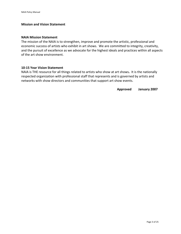## **Mission and Vision Statement**

#### **NAIA Mission Statement**

The mission of the NAIA is to strengthen, improve and promote the artistic, professional and economic success of artists who exhibit in art shows. We are committed to integrity, creativity, and the pursuit of excellence as we advocate for the highest ideals and practices within all aspects of the art show environment.

#### **10‐15 Year Vision Statement**

NAIA is THE resource for all things related to artists who show at art shows**.** It is the nationally respected organization with professional staff that represents and is governed by artists and networks with show directors and communities that support art show events.

 **Approved January 2007**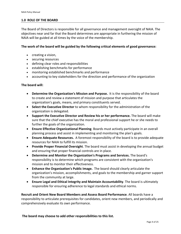## **1.0 ROLE OF THE BOARD**

The Board of Directors is responsible for all governance and management oversight of NAIA. The objectives near and far that the Board determines are appropriate in furthering the mission of NAIA will be guided at all times by the voice of the membership.

## **The work of the board will be guided by the following critical elements of good governance:**

- creating a vision,
- securing resources
- defining clear roles and responsibilities
- **•** establishing benchmarks for performance
- monitoring established benchmarks and performance
- accounting to key stakeholders for the direction and performance of the organization

## **The board will:**

- **Determine the Organization's Mission and Purpose.** It is the responsibility of the board to create and review a statement of mission and purpose that articulates the organization's goals, means, and primary constituents served.
- **Select the Executive Director** to whom responsibility for the administration of the organization is delegated.
- **Support the Executive Director and Review his or her performance.** The board will make sure that the chief executive has the moral and professional support he or she needs to further the goals of the organization.
- **Ensure Effective Organizational Planning**. Boards must actively participate in an overall planning process and assist in implementing and monitoring the plan's goals.
- **Ensure Adequate Resources.** A foremost responsibility of the board is to provide adequate resources for NAIA to fulfill its mission.
- **Provide Proper Financial Oversight**. The board must assist in developing the annual budget and ensuring that proper financial controls are in place.
- **Determine and Monitor the Organization's Programs and Services.** The board's responsibility is to determine which programs are consistent with the organization's mission and to monitor their effectiveness.
- **Enhance the Organization's Public Image.** The board should clearly articulate the organization's mission, accomplishments, and goals to the membership and garner support from the community at large.
- **Ensure Legal and Ethical Integrity and Maintain Accountability**. The board is ultimately responsible for ensuring adherence to legal standards and ethical norms.

**Recruit and Orient New Board Members and Assess Board Performance**. All boards have a responsibility to articulate prerequisites for candidates, orient new members, and periodically and comprehensively evaluate its own performance.

**The board may choose to add other responsibilities to this list.**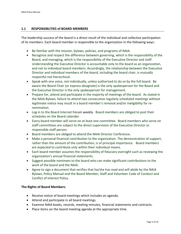#### **1.1 RESPONSIBLITIES of BOARD MEMBERS**

The leadership success of the board is a direct result of the individual and collective participation of its members. Each board member is responsible to the organization in the following ways:

- Be familiar with the mission, bylaws, policies, and programs of NAIA.
- Recognize and respect the difference between governing, which is the responsibility of the Board, and managing, which is the responsibility of the Executive Director and staff. Understanding the Executive Director is accountable only to the board as an organization, and not to individual board members. Accordingly, the relationship between the Executive Director and individual members of the board, including the board chair, is mutually respectful not hierarchical.
- Speak with one voice, not individually, unless authorized to do so by the full board. Be aware the Board Chair (or express designate) is the only spokesperson for the Board and the Executive Director is the only spokesperson for management.
- Prepare for, attend and participate in the majority of meetings of the board. As stated in the NAIA Bylaws, failure to attend two consecutive regularly scheduled meetings without legitimate notice may result in a board member's removal and/or ineligibility for re‐ nomination.
- Log in to the Board Internet Forum weekly. Board members are obliged to post their schedules on the Board calendar.
- Every board member will serve on at least one committee. Board members who serve on staff committees are subject to the direct supervision of the Executive Director or responsible staff person.
- Board members are obliged to attend the NAIA Director Conference.
- Make a personal financial contribution to the organization. The demonstration of support, rather than the amount of the contribution, is of principal importance. Board members are expected to contribute only within their individual means.
- Each board member assumes the responsibility of fiduciary oversight such as reviewing the organization's annual financial statements.
- Suggest possible nominees to the board who can make significant contributions to the work of the board and the NAIA.
- Agree to sign a document that verifies that he/she has read and will abide by the NAIA Bylaws, Policy Manual and the Board Member, Staff and Volunteer Code of Conduct and Conflict of Interest Policy.

#### **The Rights of Board Members:**

- Receive notice of board meetings which includes an agenda.
- Attend and participate in all board meetings.
- Examine NAIA books, records, meeting minutes, financial statements and contracts.
- Place items on the board meeting agenda at the appropriate time.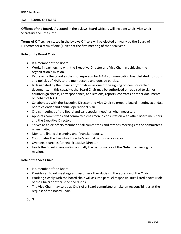## **1.2 BOARD OFFICERS**

**Officers of the Board.** As stated in the bylaws Board Officers will include: Chair, Vice Chair, Secretary and Treasurer

**Terms of Office.** As stated in the bylaws Officers will be elected annually by the Board of Directors for a term of one (1) year at the first meeting of the fiscal year.

## **Role of the Board Chair**

- Is a member of the Board.
- Works in partnership with the Executive Director and Vice Chair in achieving the organization's mission.
- Represents the board as the spokesperson for NAIA communicating board-stated positions and policies of NAIA to the membership and outside parties.
- Is designated by the Board and/or bylaws as one of the signing officers for certain documents. In this capacity, the Board Chair may be authorized or required to sign or countersign checks, correspondence, applications, reports, contracts or other documents on behalf of NAIA.
- Collaborates with the Executive Director and Vice Chair to prepare board meeting agendas, board calendar and annual operational plan.
- Chairs meetings of the Board and calls special meetings when necessary.
- Appoints committees and committee chairmen in consultation with other Board members and the Executive Director.
- Serves as an ex-officio member of all committees and attends meetings of the committees when invited.
- Monitors financial planning and financial reports.
- Coordinates the Executive Director's annual performance report.
- Oversees searches for new Executive Director.
- Leads the Board in evaluating annually the performance of the NAIA in achieving its mission.

## **Role of the Vice Chair**

- Is a member of the Board.
- Presides at Board meetings and assumes other duties in the absence of the Chair.
- Working closely with the board chair will assume parallel responsibilities listed above (Role of the Chair) or other specified duties.
- The Vice-Chair may serve as Chair of a Board committee or take on responsibilities at the request of the Board Chair.

Con't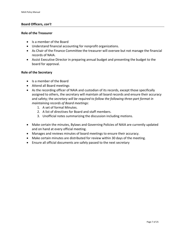## **Board Officers,** *con't*

## **Role of the Treasurer**

- Is a member of the Board
- Understand financial accounting for nonprofit organizations.
- As Chair of the Finance Committee the treasurer will oversee but not manage the financial records of NAIA.
- Assist Executive Director in preparing annual budget and presenting the budget to the board for approval.

#### **Role of the Secretary**

- Is a member of the Board
- Attend all Board meetings
- As the recording officer of NAIA and custodian of its records, except those specifically assigned to others, the secretary will maintain all board records and ensure their accuracy and safety; the *secretary will be required to follow the following three‐part format in maintaining records of Board meetings*:
	- 1. A set of formal Minutes.
	- 2. A list of directives for Board and staff members.
	- 3. Unofficial notes summarizing the discussion including motions.
- Make certain the minutes, Bylaws and Governing Policies of NAIA are currently updated and on hand at every official meeting.
- Manages and reviews minutes of board meetings to ensure their accuracy.
- Make certain minutes are distributed for review within 30 days of the meeting.
- Ensure all official documents are safely passed to the next secretary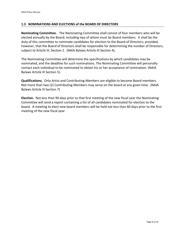## **1.3 NOMINATIONS AND ELECTIONS of the BOARD OF DIRECTORS**

**Nominating Committee.**  The Nominating Committee shall consist of four members who will be elected annually by the Board; including two of whom must be Board members. It shall be the duty of this committee to nominate candidates for election to the Board of Directors; provided, however, that the Board of Directors shall be responsible for determining the number of Directors, subject to Article III, Section 2. (NAIA Bylaws Article III Section 4)*.* 

The Nominating Committee will determine the specifications by which candidates may be nominated, and the deadline for such nominations. The Nominating Committee will personally contact each individual to be nominated to obtain his or her acceptance of nomination. (NAIA Bylaws Article III Section 5).

**Qualifications.** Only Artist and Contributing Members are eligible to become Board members. Not more than two (2) Contributing Members may serve on the board at any given time. (NAIA Bylaws Article III Section 7)

**Election.** Not less than 90 days prior to that first meeting of the new fiscal year the Nominating Committee will send a report containing a list of all candidates nominated for election to the board. A meeting to elect new board members will be held not less than 60 days prior to the first meeting of the new fiscal year.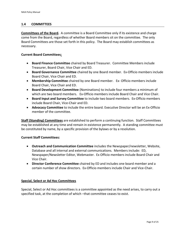## **1.4 COMMITTEES**

**Committees of the Board.** A committee is a Board Committee only if its existence and charge come from the Board, regardless of whether Board members sit on the committee. The only Board Committees are those set forth in this policy. The Board may establish committees as necessary.

## **Current Board Committees:**

- **Board Finance Committee** chaired by Board Treasurer. Committee Members include Treasurer, Board Chair, Vice Chair and ED.
- **Board Governance Committee** chaired by one Board member. Ex‐Officio members include Board Chair, Vice Chair and ED.
- **Membership Committee** chaired by one Board member. Ex‐ Officio members include Board Chair, Vice Chair and ED.
- **Board Development Committee** (Nominations) to include four members a minimum of which are two board members. Ex-Officio members include Board Chair and Vice Chair.
- **Board Input and Survey Committee** to include two board members. Ex‐Officio members include Board Chair, Vice‐Chair and ED.
- **Advocacy Committee** to include the entire board. Executive Director will be an Ex‐Officio member of the committee.

**Staff (Standing) Committees** are established to perform a continuing function. Staff Committees may be established at any time and remain in existence permanently. A standing committee must be constituted by name, by a specific provision of the bylaws or by a resolution.

#### **Current Staff Committees:**

- **Outreach and Communication Committee** includes the Newspaper/newsletter, Website, Database and all internal and external communications. Members include: ED, Newspaper/Newsletter Editor, Webmaster. Ex Officio members include Board Chair and Vice Chair.
- **Director Conference Committee** chaired by ED and includes one board member and a certain number of show directors. Ex‐Officio members include Chair and Vice‐Chair.

#### **Special, Select or Ad Hoc Committees**

Special, Select or Ad Hoc committees is a committee appointed as the need arises, to carry out a specified task, at the completion of which –that committee ceases to exist.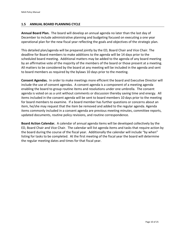## **1.5 ANNUAL BOARD PLANNING CYCLE**

**Annual Board Plan.** The board will develop an annual agenda no later than the last day of December to include administrative planning and budgeting focused on executing a one year operational plan for the new fiscal year reflecting the goals and objectives of the strategic plan.

This detailed plan/agenda will be prepared jointly by the ED, Board Chair and Vice Chair. The deadline for Board members to make additions to the agenda will be 14 days prior to the scheduled board meeting. Additional matters may be added to the agenda of any board meeting by an affirmative vote of the majority of the members of the board or those present at a meeting. All matters to be considered by the board at any meeting will be included in the agenda and sent to board members as required by the bylaws 10 days prior to the meeting.

**Consent Agendas.** In order to make meetings more efficient the board and Executive Director will include the use of consent agendas. A consent agenda is a component of a meeting agenda enabling the board to group routine items and resolutions under one umbrella. The consent agenda is voted on as a unit without comments or discussion thereby saving time and energy. All items included in the consent agenda will be sent to board members 10 days prior to the meeting for board members to examine. If a board member has further questions or concerns about an item, he/she may request that the item be removed and added to the regular agenda. Agenda items commonly included in a consent agenda are previous meeting minutes, committee reports, updated documents, routine policy revisions, and routine correspondence.

**Board Action Calendar.** A calendar of annual agenda items will be developed collectively by the ED, Board Chair and Vice Chair. The calendar will list agenda items and tasks that require action by the board during the course of the fiscal year. Additionally the calendar will include "by when" listing for tasks to be completed. At the first meeting of the fiscal year the board will determine the regular meeting dates and times for that fiscal year.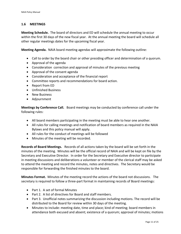## **1.6 MEETINGS**

**Meeting Schedule.** The board of directors and ED will schedule the annual meeting to occur within the first 30 days of the new fiscal year. At the annual meeting the board will schedule all other regular meetings dates for the upcoming fiscal year.

**Meeting Agenda.** NAIA board meeting agendas will approximate the following outline:

- Call to order by the board chair or other presiding officer and determination of a quorum.
- Approval of the agenda
- Consideration correction and approval of minutes of the previous meeting
- Approval of the consent agenda
- Consideration and acceptance of the financial report
- Committee reports and recommendations for board action.
- Report from ED
- Unfinished Business
- New Business
- Adjournment

**Meetings by Conference Call.** Board meetings may be conducted by conference call under the following rules:

- All board members participating in the meeting must be able to hear one another.
- All rules for calling meetings and notification of board members as required in the NAIA Bylaws and this policy manual will apply.
- All rules for the conduct of meetings will be followed
- Minutes of the meeting will be recorded.

**Records of Board Meetings.**  Records of all actions taken by the board will be set forth in the minutes of the meeting. Minutes will be the official record of NAIA and will be kept on file by the Secretary and Executive Director. In order for the Secretary and Executive director to participate in meeting discussions and deliberations a volunteer or member of the clerical staff may be asked to attend the meeting and record the minutes, notes and directives. The Secretary would be responsible for forwarding the finished minutes to the board.

**Minutes Format.** Minutes of the meeting record the actions of the board not discussions. The secretary is required to follow a three-part format in maintaining records of Board meetings:

- Part 1. A set of formal Minutes
- Part 2. A list of directives for Board and staff members.
- Part 3. Unofficial notes summarizing the discussion including motions. The record will be distributed to the Board for review within 30 days of the meeting.
- Minutes to include: meeting date, time and place; kind of meeting; board members in attendance both excused and absent; existence of a quorum; approval of minutes; motions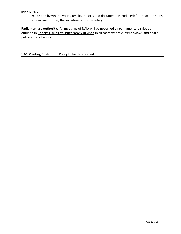made and by whom; voting results; reports and documents introduced; future action steps; adjournment time; the signature of the secretary.

Parliamentary Authority. All meetings of NAIA will be governed by parliamentary rules as outlined in **Robert's Rules of Order Newly Revised** in all cases where current bylaws and board policies do not apply.

**1.61 Meeting Costs………..Policy to be determined**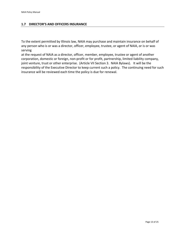## **1.7 DIRECTOR'S AND OFFICERS INSURANCE**

To the extent permitted by Illinois law, NAIA may purchase and maintain insurance on behalf of any person who is or was a director, officer, employee, trustee, or agent of NAIA, or is or was serving

at the request of NAIA as a director, officer, member, employee, trustee or agent of another corporation, domestic or foreign, non‐profit or for profit, partnership, limited liability company, joint venture, trust or other enterprise. (Article VII Section 3. NAIA Bylaws). It will be the responsibility of the Executive Director to keep current such a policy. The continuing need for such insurance will be reviewed each time the policy is due for renewal.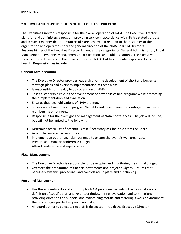## **2.0 ROLE AND RESPONSIBILITIES OF THE EXECUTIVE DIRECTOR**

The Executive Director is responsible for the overall operation of NAIA. The Executive Director plans for and administers a program providing service in accordance with NAIA's stated purpose and in such a manner that optimum results are achieved in relation to the resources of the organization and operates under the general direction of the NAIA Board of Directors. Responsibilities of the Executive Director fall under the categories of General Administration, Fiscal Management, Personnel Management, Board Relations and Public Relations. The Executive Director interacts with both the board and staff of NAIA, but has ultimate responsibility to the board. Responsibilities include:

#### **General Administration**

- The Executive Director provides leadership for the development of short and longer-term strategic plans and oversees implementation of these plans.
- Is responsible for the day to day operation of NAIA.
- Takes a leadership role in the development of new policies and programs while promoting their implementation and evaluation.
- Ensures that legal obligations of NAIA are met.
- Supervision of membership program/benefits and development of strategies to increase membership enrollment.
- Responsible for the oversight and management of NAIA Conferences. The job will include, but will not be limited to the following:
- 1. Determine feasibility of potential sites; if necessary ask for input from the Board
- 2. Assemble conference committee
- 3. Implement an operational plan designed to ensure the event is well organized.
- 4. Prepare and monitor conference budget
- 5. Attend conference and supervise staff

## **Fiscal Management**

- The Executive Director is responsible for developing and monitoring the annual budget.
- Oversees the preparation of financial statements and project budgets. Ensures that necessary systems, procedures and controls are in place and functioning.

#### **Personnel Management**

- Has the accountability and authority for NAIA personnel, including the formulation and definition of specific staff and volunteer duties, hiring, evaluation and termination; providing direction and support; and maintaining morale and fostering a work environment that encourages productivity and creativity;
- All board authority delegated to staff is delegated through the Executive Director.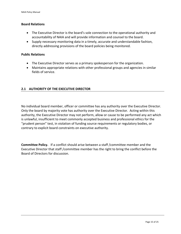## **Board Relations**

- The Executive Director is the board's sole connection to the operational authority and accountability of NAIA and will provide information and counsel to the board.
- Supply necessary monitoring data in a timely, accurate and understandable fashion, directly addressing provisions of the board policies being monitored.

#### **Public Relations**

- The Executive Director serves as a primary spokesperson for the organization.
- Maintains appropriate relations with other professional groups and agencies in similar fields of service.

## **2.1 AUTHORITY OF THE EXECUTIVE DIRECTOR**

No individual board member, officer or committee has any authority over the Executive Director. Only the board by majority vote has authority over the Executive Director. Acting within this authority, the Executive Director may not perform, allow or cause to be performed any act which is unlawful, insufficient to meet commonly accepted business and professional ethics for the "prudent person" test, in violation of funding source requirements or regulatory bodies, or contrary to explicit board constraints on executive authority.

**Committee Policy.** If a conflict should arise between a staff /committee member and the Executive Director that staff /committee member has the right to bring the conflict before the Board of Directors for discussion.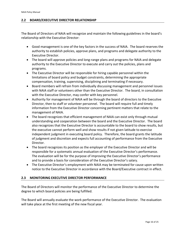## **2.2 BOARD/EXECUTIVE DIRECTOR RELATIONSHIP**

The Board of Directors of NAIA will recognize and maintain the following guidelines in the board's relationship with the Executive Director:

- Good management is one of the key factors in the success of NAIA. The board reserves the authority to establish policies, approve plans, and programs and delegate authority to the Executive Director.
- The board will approve policies and long-range plans and programs for NAIA and delegate authority to the Executive Director to execute and carry out the policies, plans and programs.
- The Executive Director will be responsible for hiring capable personnel within the limitations of board policy and budget constraints, determining the appropriate compensation, training, supervising, disciplining and terminating if necessary.
- Board members will refrain from individually discussing management and personnel issues with NAIA staff or volunteers other than the Executive Director. The board, in consultation with the Executive Director, may confer with key personnel.
- Authority for management of NAIA will be through the board of directors to the Executive Director, then to staff or volunteer personnel. The board will require full and timely information from the Executive Director concerning pertinent matters that relate to the management of NAIA.
- The board recognizes that efficient management of NAIA can exist only through mutual understanding and cooperation between the board and the Executive Director. The board also recognizes that the Executive Director is accountable to the board to show results, but the executive cannot perform well and show results if not given latitude to exercise independent judgment in executing board policy. Therefore, the board grants the latitude of judgment and discretion and expects full accounting of performance from the Executive Director.
- The board recognizes its position as the employer of the Executive Director and will be responsible for a systematic annual evaluation of the Executive Director's performance. The evaluation will be for the purpose of improving the Executive Director's performance and to provide a basis for consideration of the Executive Director's salary.
- The Executive Director's employment with NAIA may be terminated for cause upon written notice to the Executive Director in accordance with the Board/Executive contract in effect.

## **2.3 MONITORING EXECUTIVE DIRECTOR PERFORMANCE**

The Board of Directors will monitor the performance of the Executive Director to determine the degree to which board policies are being fulfilled.

The Board will annually evaluate the work performance of the Executive Director. The evaluation will take place at the first meeting of the new fiscal year.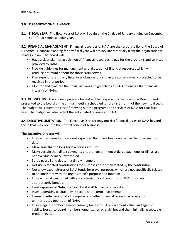## **3.0 ORGANIZATIONAL FINANCE**

**3.1 FISCAL YEAR.** The fiscal year of NAIA will begin on the 1<sup>st</sup> day of January ending on December 31<sup>st</sup> of that same calendar year.

**3.2 FINANCIAL MANAGEMENT.** Financial resources of NAIA are the responsibility of the Board of Directors. Financial planning for any fiscal year will not deviate materially from the organizational strategic plan. The board will:

- Have a clear plan for acquisition of financial resources to pay for the programs and services provided by NAIA.
- Provide guidelines for management and allocation of financial resources which will produce optimum benefit for those NAIA serves.
- Plan expenditures in any fiscal year of more funds than are conservatively projected to be received in that period.
- Monitor and evaluate the financial plans and guidelines of NAIA to ensure the financial integrity of NAIA.

**3.3 BUDGETING.** The annual operating budget will be prepared by the Executive Director and presented to the board at the annual meeting scheduled for the first month of the new fiscal year. The budget will reflect the cost of carrying out the programs and services of NAIA for that fiscal year. The budget will also reflect the anticipated revenues of NAIA.

**3.4 EXECUTIVE LIMITATION.** The Executive Director may not risk financial losses to NAIA beyond those that may occur in the normal course of business.

#### **The Executive Director will:**

- Ensure that more funds are not expended than have been received in the fiscal year to date.
- Make sure that no long term reserves are used.
- Make certain that all tax payments or other government ordered payments or filings are not overdue or inaccurately filed.
- Settle payroll and debts in a timely manner.
- Not use restricted contributions for purposes other than stated by the contributor.
- Not allow expenditures of NAIA funds for travel purposes which are not specifically related to or consistent with the organization's purpose and function
- Ensure that all personnel with access to significant amounts of NAIA funds are appropriately bonded.
- Limit exposure of NAIA, the board and staff to claims of liability.
- Invest operating capital only in secure short-term investments.
- Insure off-site backup of all computer and other financial records necessary for uninterrupted operation of NAIA.
- Ensure against embezzlement, casualty losses to full replacement value, and against liability losses (to board members, organization or staff) beyond the minimally acceptable prudent level.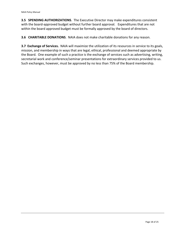**3.5 SPENDING AUTHORIZATIONS**. The Executive Director may make expenditures consistent with the board-approved budget without further board approval. Expenditures that are not within the board approved budget must be formally approved by the board of directors.

**3.6 CHARITABLE DONATIONS**. NAIA does not make charitable donations for any reason.

**3.7 Exchange of Services.** NAIA will maximize the utilization of its resources in service to its goals, mission, and membership in ways that are legal, ethical, professional and deemed appropriate by the Board. One example of such a practice is the exchange of services such as advertising, writing, secretarial work and conference/seminar presentations for extraordinary services provided to us. Such exchanges, however, must be approved by no less than 75% of the Board membership.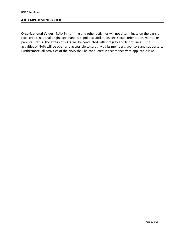## **4.0 EMPLOYMENT POLICIES**

**Organizational Values**. NAIA in its hiring and other activities will not discriminate on the basis of race, creed, national origin, age, handicap, political affiliation, sex, sexual orientation, marital or parental status. The affairs of NAIA will be conducted with integrity and truthfulness. The activities of NAIA will be open and accessible to scrutiny by its members, sponsors and supporters. Furthermore, all activities of the NAIA shall be conducted in accordance with applicable laws.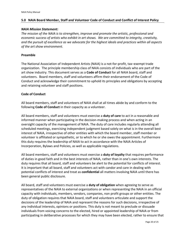## **5.0 NAIA Board Member, Staff and Volunteer Code of Conduct and Conflict of Interest Policy**

#### *NAIA Mission Statement:*

*The mission of the NAIA is to strengthen, improve and promote the artistic, professional and economic success of artists who exhibit in art shows. We are committed to integrity, creativity, and the pursuit of excellence as we advocate for the highest ideals and practices within all aspects of the art show environment.*

#### **Preamble**

The National Association of Independent Artists (NAIA) is a not‐for‐profit, tax–exempt trade organization. The principle membership class of NAIA consists of individuals who are part of the art show industry. This document serves as a **Code of Conduct** for all NAIA board, staff and volunteers. Board members, staff and volunteers affirm their endorsement of the Code of Conduct and acknowledge their commitment to uphold its principles and obligations by accepting and retaining volunteer and staff positions.

#### **Code of Conduct**

All board members, staff and volunteers of NAIA shall at all times abide by and conform to the following **Code of Conduct** in their capacity as a volunteer.

All board members, staff and volunteers must exercise a **duty of care** to act in a reasonable and informed manner when participating in the decision‐making process and when acting in an oversight capacity of the management of NAIA. The duty of care includes regularly attending all scheduled meetings, exercising independent judgment based solely on what is in the overall best interest of NAIA, irrespective of other entities with which the board member, staff member or volunteer is affiliated or sympathetic, or to which he or she owes the appointment. Furthermore this duty requires the leadership of NAIA to act in accordance with the NAIA Articles of Incorporation, Bylaws and Policies, as well as applicable regulations.

All board members, staff and volunteers must exercise a **duty of loyalty** that requires performance of duties in good faith and in the best interests of NAIA, rather than in one's own interests. The duty requires that all board, staff and volunteers be alert to the potential for conflicts of interest. It is important that all board, staff and volunteers act with candor and care in dealing with potential conflicts of interest and treat as **confidential** all matters involving NAIA until there has been general public disclosure.

All board, staff and volunteers must exercise a **duty of obligation** when agreeing to serve as representatives of the NAIA to external organizations or when representing the NAIA in an official capacity with individuals, members, vendors, companies, non profit groups or other entities. The duty of obligation requires that NAIA board, staff and volunteers articulate and support the decisions of the leadership of NAIA and represent the reasons for such decisions, irrespective of any individual interests, opinions or positions. This duty is not meant to preclude or dissuade individuals from voicing concerns to the elected, hired or appointed leadership of NAIA or from participating in deliberative processes for which they may have been elected, rather to ensure that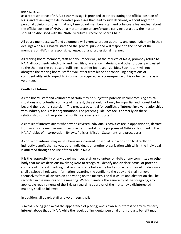#### NAIA Policy Manual

as a representative of NAIA a clear message is provided to others stating the official position of NAIA and reviewing the deliberative processes that lead to such decisions, without regard to personal opinions or bias. If at any time board members, staff and volunteers feel unclear about the official position of NAIA on a matter or are uncomfortable carrying out a duty the matter should be discussed with the NAIA Executive Director or Board Chair.

All board members, staff and volunteers will exercise proper authority and good judgment in their dealings with NAIA board, staff and the general public and will respond to the needs of the members of NAIA in a responsible, respectful and professional manner.

All retiring board members, staff and volunteers will, at the request of NAIA, promptly return to NAIA all documents, electronic and hard files, reference materials, and other property entrusted to the them for the purpose of fulfilling his or her job responsibilities. Such return will not abrogate the retiring board, staff or volunteer from his or her continuing obligations of **confidentiality** with respect to information acquired as a consequence of his or her tenure as a volunteer.

## **Conflict of Interest**

As the board, staff and volunteers of NAIA may be subject to potentially compromising ethical situations and potential conflicts of interest, they should not only be impartial and honest but far beyond the reach of suspicion. The greatest potential for conflicts of interest involve relationships with industry and similar organizations, The present guidelines focus primarily on these relationships but other potential conflicts are no less important.

A conflict of interest arises whenever a covered individual's activities are in opposition to, detract from or in some manner might become detrimental to the purposes of NAIA as described in the NAIA Articles of Incorporation, Bylaws, Policies, Mission Statement, and procedures.

A conflict of interest may exist whenever a covered individual is in a position to directly or indirectly benefit themselves, other individuals or another organization with which the individual is affiliated through the use of their role in NAIA.

It is the responsibility of any board member, staff or volunteer of NAIA or any committee or other body that makes decisions involving NAIA to recognize, identify and disclose actual or potential conflicts of interest involving matters that come before the bodies on which they sit. Individuals shall disclose all relevant information regarding the conflict to the body and shall remove themselves from all discussion and voting on the matter. The disclosure and abstention shall be recorded in the minutes of the meeting. Without limiting the generality of the foregoing, any applicable requirements of the Bylaws regarding approval of the matter by a disinterested majority shall be followed.

In addition, all board, staff and volunteers shall:

• Avoid placing (and avoid the appearance of placing) one's own self‐interest or any third‐party interest above that of NAIA while the receipt of incidental personal or third-party benefit may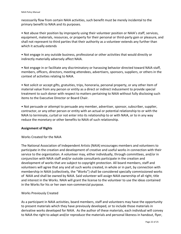necessarily flow from certain NAIA activities, such benefit must be merely incidental to the primary benefit to NAIA and its purposes.

• Not abuse their position by improperly using their volunteer position or NAIA's staff, services, equipment, materials, resources, or property for their personal or third-party gain or pleasure, and shall not represent to third parties that their authority as a volunteer extends any further than which it actually extends

• Not engage in any outside business, professional or other activities that would directly or indirectly materially adversely affect NAIA.

• Not engage in or facilitate any discriminatory or harassing behavior directed toward NAIA staff, members, officers, directors, meeting attendees, advertisers, sponsors, suppliers, or others in the context of activities relating to NAIA.

• Not solicit or accept gifts, gratuities, trips, honoraria, personal property, or any other item of material value from any person or entity as a direct or indirect inducement to provide special treatment to such donor with respect to matters pertaining to NAIA without fully disclosing such items to the Executive Director or Board Chair.

• Not persuade or attempt to persuade any member, advertiser, sponsor, subscriber, supplier, contractor, or any other person or entity with an actual or potential relationship to or with the NAIA to terminate, curtail or not enter into its relationship to or with NAIA, or to in any way reduce the monetary or other benefits to NAIA of such relationship.

## **Assignment of Rights**

## Works Created for the NAIA

The National Association of Independent Artists (NAIA) encourages members and volunteers to participate in the creation and development of creative and useful works in connection with their service to the organization. A volunteer may, either individually, through committees, and/or in conjunction with NAIA staff and/or outside consultants participate in the creation and development of works that are subject to copyright protection. All board members, staff and volunteers will agree that any and all such works created, in whole or in part, by connection with membership in NAIA (collectively, the "Works") shall be considered specially commissioned works of NAIA and shall be owned by NAIA. Said volunteer will assign NAIA ownership of all right, title and interest in the Works. NAIA will grant the license to the volunteer to use the ideas contained in the Works for his or her own non‐commercial purpose.

#### Works Previously Created

As a participant in NAIA activities, board members, staff and volunteers may have the opportunity to present materials which they have previously developed, or to include those materials in derivative works developed for NAIA. As the author of these materials, each individual will convey to NAIA the right to adapt and/or reproduce the materials and personal likeness in handout, flyer,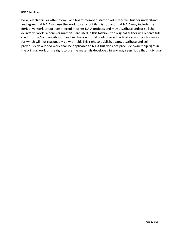book, electronic, or other form. Each board member, staff or volunteer will further understand and agree that NAIA will use the work to carry out its mission and that NAIA may include the derivative work or portions thereof in other NAIA projects and may distribute and/or sell the derivative work. Whenever materials are used in this fashion, the original author will receive full credit for his/her contribution and will have editorial control over the final version, authorization for which will not reasonably be withheld. This right to publish, adapt, distribute and sell previously developed work shall be applicable to NAIA but does not preclude ownership right in the original work or the right to use the materials developed in any way seen fit by that individual.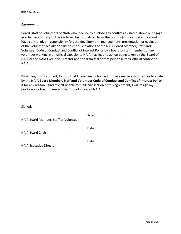## **Agreement**

Board, staff or volunteers of NAIA who decline to disclose any conflicts as stated above or engage in activities contrary to this Code will be disqualified from the position(s) they hold and cannot have control of, or responsibility for, the development, management, presentation or evaluation of the volunteer activity or paid position. Violations of the NAIA Board Member, Staff and Volunteer Code of Conduct and Conflict of Interest Policy by a board or staff member, or any volunteer working in an official capacity to NAIA may lead to action being taken by the Board of NAIA or the NAIA Executive Director and the dismissal of that person in their official context to NAIA.

By signing this document, I affirm that I have been informed of these matters, and I agree to abide by the **NAIA Board Member, Staff and Volunteer Code of Conduct and Conflict of Interest Policy.**  If for any reason, I find myself unable to fulfill any section of this agreement, I will resign my position as a board member, staff or volunteer of NAIA.

Signed:

|                                       | Date: |
|---------------------------------------|-------|
| NAIA Board Member, Staff or Volunteer |       |
|                                       | Date: |
| <b>NAIA Board Chair</b>               |       |
|                                       | Date: |
| <b>NAIA Executive Director</b>        |       |